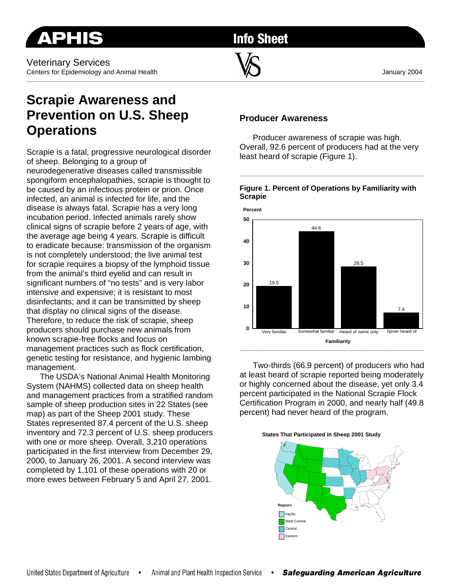Veterinary Services Centers for Epidemiology and Animal Health January 2004

**Info Sheet** 

**\_\_\_\_\_\_\_\_\_\_\_\_\_\_\_\_\_\_\_\_\_\_\_\_\_\_\_\_\_\_\_\_\_\_\_\_\_\_\_\_\_\_\_\_\_\_\_\_\_\_\_\_\_\_\_\_\_\_\_\_\_\_\_\_\_\_\_\_\_\_\_\_\_\_\_\_\_\_\_\_\_\_\_\_\_\_\_\_\_\_\_\_\_\_\_\_\_\_\_\_\_\_\_\_\_\_\_\_\_\_\_\_\_\_\_\_\_\_\_\_\_** 

# **Scrapie Awareness and Prevention on U.S. Sheep Operations**

Scrapie is a fatal, progressive neurological disorder of sheep. Belonging to a group of

neurodegenerative diseases called transmissible spongiform encephalopathies, scrapie is thought to be caused by an infectious protein or prion. Once infected, an animal is infected for life, and the disease is always fatal. Scrapie has a very long incubation period. Infected animals rarely show clinical signs of scrapie before 2 years of age, with the average age being 4 years. Scrapie is difficult to eradicate because: transmission of the organism is not completely understood; the live animal test for scrapie requires a biopsy of the lymphoid tissue from the animal's third eyelid and can result in significant numbers of "no tests" and is very labor intensive and expensive; it is resistant to most disinfectants; and it can be transmitted by sheep that display no clinical signs of the disease. Therefore, to reduce the risk of scrapie, sheep producers should purchase new animals from known scrapie-free flocks and focus on management practices such as flock certification, genetic testing for resistance, and hygienic lambing management.

The USDA's National Animal Health Monitoring System (NAHMS) collected data on sheep health and management practices from a stratified random sample of sheep production sites in 22 States (see map) as part of the Sheep 2001 study. These States represented 87.4 percent of the U.S. sheep inventory and 72.3 percent of U.S. sheep producers with one or more sheep. Overall, 3,210 operations participated in the first interview from December 29, 2000, to January 26, 2001. A second interview was completed by 1,101 of these operations with 20 or more ewes between February 5 and April 27, 2001.

## **Producer Awareness**

Producer awareness of scrapie was high. Overall, 92.6 percent of producers had at the very least heard of scrapie (Figure 1).

### **Figure 1. Percent of Operations by Familiarity with Scrapie**

**\_\_\_\_\_\_\_\_\_\_\_\_\_\_\_\_\_\_\_\_\_\_\_\_\_\_\_\_\_\_\_\_\_\_\_\_\_\_\_\_\_\_\_\_\_\_\_\_\_\_\_\_\_\_\_\_** 



Two-thirds (66.9 percent) of producers who had at least heard of scrapie reported being moderately or highly concerned about the disease, yet only 3.4 percent participated in the National Scrapie Flock Certification Program in 2000, and nearly half (49.8 percent) had never heard of the program.



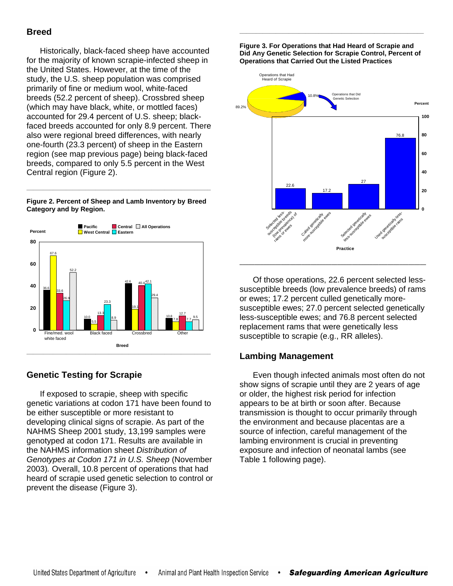# **Breed**

Historically, black-faced sheep have accounted for the majority of known scrapie-infected sheep in the United States. However, at the time of the study, the U.S. sheep population was comprised primarily of fine or medium wool, white-faced breeds (52.2 percent of sheep). Crossbred sheep (which may have black, white, or mottled faces) accounted for 29.4 percent of U.S. sheep; blackfaced breeds accounted for only 8.9 percent. There also were regional breed differences, with nearly one-fourth (23.3 percent) of sheep in the Eastern region (see map previous page) being black-faced breeds, compared to only 5.5 percent in the West Central region (Figure 2).

**Figure 2. Percent of Sheep and Lamb Inventory by Breed Category and by Region.**

**\_\_\_\_\_\_\_\_\_\_\_\_\_\_\_\_\_\_\_\_\_\_\_\_\_\_\_\_\_\_\_\_\_\_\_\_\_\_\_\_\_\_\_\_\_\_\_\_\_\_\_\_\_\_\_\_** 



# **Genetic Testing for Scrapie**

If exposed to scrapie, sheep with specific genetic variations at codon 171 have been found to be either susceptible or more resistant to developing clinical signs of scrapie. As part of the NAHMS Sheep 2001 study, 13,199 samples were genotyped at codon 171. Results are available in the NAHMS information sheet *Distribution of Genotypes at Codon 171 in U.S. Sheep* (November 2003)*.* Overall, 10.8 percent of operations that had heard of scrapie used genetic selection to control or prevent the disease (Figure 3).

**Figure 3. For Operations that Had Heard of Scrapie and Did Any Genetic Selection for Scrapie Control, Percent of Operations that Carried Out the Listed Practices** 

**\_\_\_\_\_\_\_\_\_\_\_\_\_\_\_\_\_\_\_\_\_\_\_\_\_\_\_\_\_\_\_\_\_\_\_\_\_\_\_\_\_\_\_\_\_\_\_\_\_\_\_\_\_\_\_\_** 



Of those operations, 22.6 percent selected lesssusceptible breeds (low prevalence breeds) of rams or ewes; 17.2 percent culled genetically moresusceptible ewes; 27.0 percent selected genetically less-susceptible ewes; and 76.8 percent selected replacement rams that were genetically less susceptible to scrapie (e.g., RR alleles).

# **Lambing Management**

Even though infected animals most often do not show signs of scrapie until they are 2 years of age or older, the highest risk period for infection appears to be at birth or soon after. Because transmission is thought to occur primarily through the environment and because placentas are a source of infection, careful management of the lambing environment is crucial in preventing exposure and infection of neonatal lambs (see Table 1 following page).